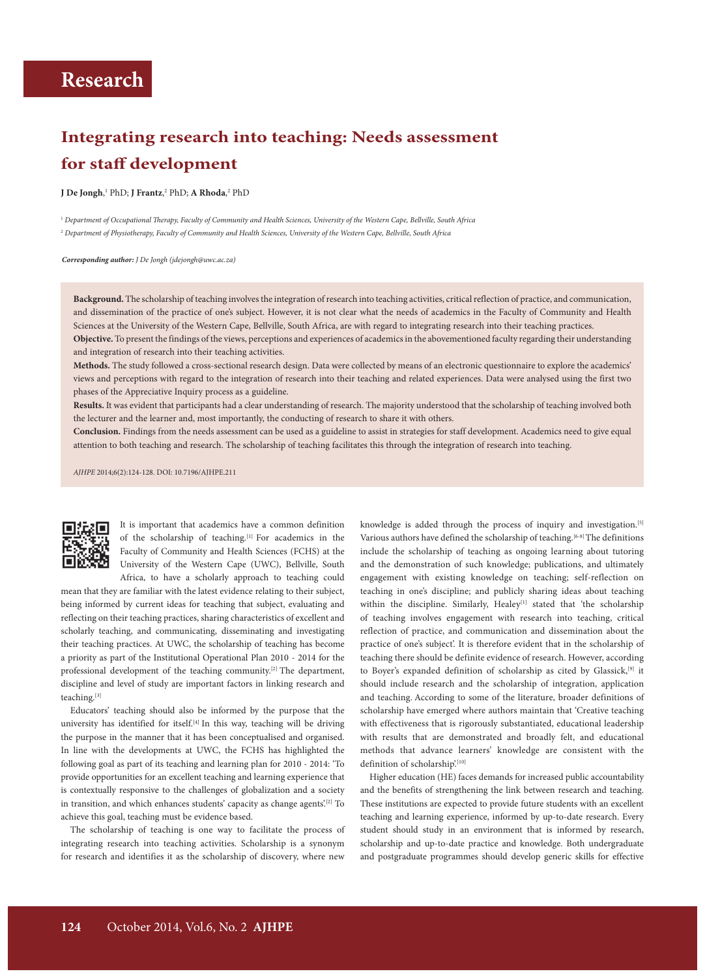# **Integrating research into teaching: Needs assessment for staff development**

**J De Jongh,**  $^1$  PhD; **J Frantz,**  $^2$  PhD; **A Rhoda,**  $^2$  PhD

1  *Department of Occupational Therapy, Faculty of Community and Health Sciences, University of the Western Cape, Bellville, South Africa*  2  *Department of Physiotherapy, Faculty of Community and Health Sciences, University of the Western Cape, Bellville, South Africa* 

*Corresponding author: J De Jongh (jdejongh@uwc.ac.za)*

**Background.** The scholarship of teaching involves the integration of research into teaching activities, critical reflection of practice, and communication, and dissemination of the practice of one's subject. However, it is not clear what the needs of academics in the Faculty of Community and Health Sciences at the University of the Western Cape, Bellville, South Africa, are with regard to integrating research into their teaching practices. **Objective.** To present the findings of the views, perceptions and experiences of academics in the abovementioned faculty regarding their understanding

and integration of research into their teaching activities.

**Methods.** The study followed a cross-sectional research design. Data were collected by means of an electronic questionnaire to explore the academics' views and perceptions with regard to the integration of research into their teaching and related experiences. Data were analysed using the first two phases of the Appreciative Inquiry process as a guideline.

**Results.** It was evident that participants had a clear understanding of research. The majority understood that the scholarship of teaching involved both the lecturer and the learner and, most importantly, the conducting of research to share it with others.

**Conclusion.** Findings from the needs assessment can be used as a guideline to assist in strategies for staff development. Academics need to give equal attention to both teaching and research. The scholarship of teaching facilitates this through the integration of research into teaching.

*AJHPE* 2014;6(2):124-128. DOI: 10.7196/AJHPE.211



It is important that academics have a common definition of the scholarship of teaching.[1] For academics in the Faculty of Community and Health Sciences (FCHS) at the University of the Western Cape (UWC), Bellville, South Africa, to have a scholarly approach to teaching could

mean that they are familiar with the latest evidence relating to their subject, being informed by current ideas for teaching that subject, evaluating and reflecting on their teaching practices, sharing characteristics of excellent and scholarly teaching, and communicating, disseminating and investigating their teaching practices. At UWC, the scholarship of teaching has become a priority as part of the Institutional Operational Plan 2010 - 2014 for the professional development of the teaching community.<sup>[2]</sup> The department, discipline and level of study are important factors in linking research and teaching.[3]

Educators' teaching should also be informed by the purpose that the university has identified for itself.<sup>[4]</sup> In this way, teaching will be driving the purpose in the manner that it has been conceptualised and organised. In line with the developments at UWC, the FCHS has highlighted the following goal as part of its teaching and learning plan for 2010 - 2014: 'To provide opportunities for an excellent teaching and learning experience that is contextually responsive to the challenges of globalization and a society in transition, and which enhances students' capacity as change agents'.<sup>[2]</sup> To achieve this goal, teaching must be evidence based.

The scholarship of teaching is one way to facilitate the process of integrating research into teaching activities. Scholarship is a synonym for research and identifies it as the scholarship of discovery, where new

knowledge is added through the process of inquiry and investigation.[5] Various authors have defined the scholarship of teaching.<sup>[6-8]</sup> The definitions include the scholarship of teaching as ongoing learning about tutoring and the demonstration of such knowledge; publications, and ultimately engagement with existing knowledge on teaching; self-reflection on teaching in one's discipline; and publicly sharing ideas about teaching within the discipline. Similarly, Healey<sup>[1]</sup> stated that 'the scholarship of teaching involves engagement with research into teaching, critical reflection of practice, and communication and dissemination about the practice of one's subject'. It is therefore evident that in the scholarship of teaching there should be definite evidence of research. However, according to Boyer's expanded definition of scholarship as cited by Glassick,<sup>[9]</sup> it should include research and the scholarship of integration, application and teaching. According to some of the literature, broader definitions of scholarship have emerged where authors maintain that 'Creative teaching with effectiveness that is rigorously substantiated, educational leadership with results that are demonstrated and broadly felt, and educational methods that advance learners' knowledge are consistent with the definition of scholarship'.[10]

Higher education (HE) faces demands for increased public accountability and the benefits of strengthening the link between research and teaching. These institutions are expected to provide future students with an excellent teaching and learning experience, informed by up-to-date research. Every student should study in an environment that is informed by research, scholarship and up-to-date practice and knowledge. Both undergraduate and postgraduate programmes should develop generic skills for effective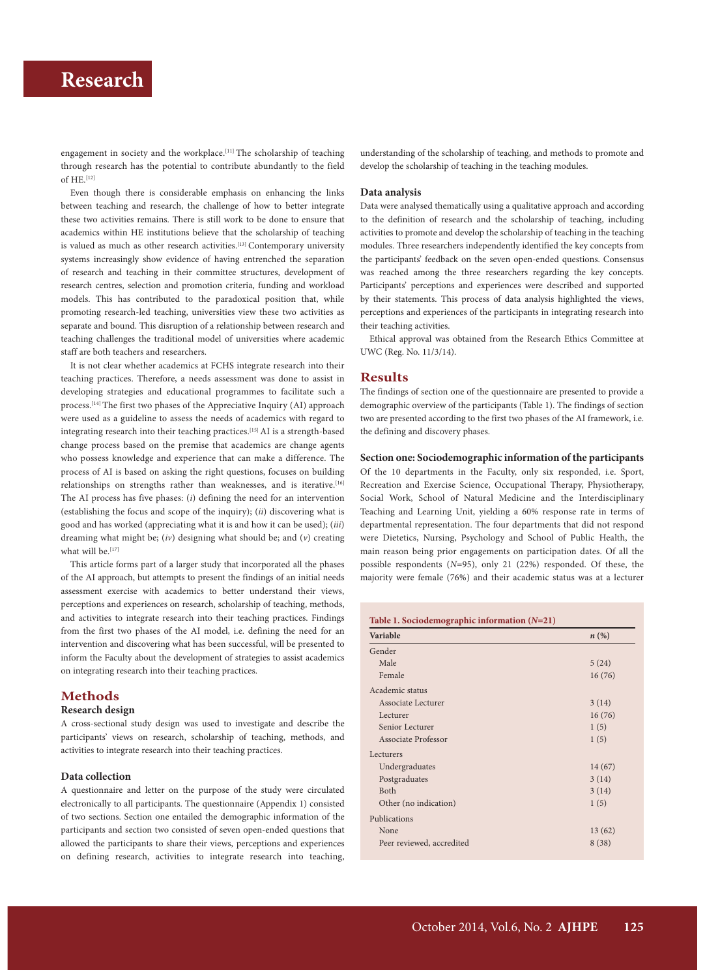engagement in society and the workplace.<sup>[11]</sup> The scholarship of teaching through research has the potential to contribute abundantly to the field of HE.[12]

Even though there is considerable emphasis on enhancing the links between teaching and research, the challenge of how to better integrate these two activities remains. There is still work to be done to ensure that academics within HE institutions believe that the scholarship of teaching is valued as much as other research activities.<sup>[13]</sup> Contemporary university systems increasingly show evidence of having entrenched the separation of research and teaching in their committee structures, development of research centres, selection and promotion criteria, funding and workload models. This has contributed to the paradoxical position that, while promoting research-led teaching, universities view these two activities as separate and bound. This disruption of a relationship between research and teaching challenges the traditional model of universities where academic staff are both teachers and researchers.

It is not clear whether academics at FCHS integrate research into their teaching practices. Therefore, a needs assessment was done to assist in developing strategies and educational programmes to facilitate such a process.<sup>[14]</sup> The first two phases of the Appreciative Inquiry (AI) approach were used as a guideline to assess the needs of academics with regard to integrating research into their teaching practices.<sup>[15]</sup> AI is a strength-based change process based on the premise that academics are change agents who possess knowledge and experience that can make a difference. The process of AI is based on asking the right questions, focuses on building relationships on strengths rather than weaknesses, and is iterative.<sup>[16]</sup> The AI process has five phases: (*i*) defining the need for an intervention (establishing the focus and scope of the inquiry); (*ii*) discovering what is good and has worked (appreciating what it is and how it can be used); (*iii*) dreaming what might be; (*iv*) designing what should be; and (*v*) creating what will be.<sup>[17]</sup>

This article forms part of a larger study that incorporated all the phases of the AI approach, but attempts to present the findings of an initial needs assessment exercise with academics to better understand their views, perceptions and experiences on research, scholarship of teaching, methods, and activities to integrate research into their teaching practices. Findings from the first two phases of the AI model, i.e. defining the need for an intervention and discovering what has been successful, will be presented to inform the Faculty about the development of strategies to assist academics on integrating research into their teaching practices.

# **Methods**

### **Research design**

A cross-sectional study design was used to investigate and describe the participants' views on research, scholarship of teaching, methods, and activities to integrate research into their teaching practices.

#### **Data collection**

A questionnaire and letter on the purpose of the study were circulated electronically to all participants. The questionnaire (Appendix 1) consisted of two sections. Section one entailed the demographic information of the participants and section two consisted of seven open-ended questions that allowed the participants to share their views, perceptions and experiences on defining research, activities to integrate research into teaching,

understanding of the scholarship of teaching, and methods to promote and develop the scholarship of teaching in the teaching modules.

#### **Data analysis**

Data were analysed thematically using a qualitative approach and according to the definition of research and the scholarship of teaching, including activities to promote and develop the scholarship of teaching in the teaching modules. Three researchers independently identified the key concepts from the participants' feedback on the seven open-ended questions. Consensus was reached among the three researchers regarding the key concepts. Participants' perceptions and experiences were described and supported by their statements. This process of data analysis highlighted the views, perceptions and experiences of the participants in integrating research into their teaching activities.

Ethical approval was obtained from the Research Ethics Committee at UWC (Reg. No. 11/3/14).

# **Results**

The findings of section one of the questionnaire are presented to provide a demographic overview of the participants (Table 1). The findings of section two are presented according to the first two phases of the AI framework, i.e. the defining and discovery phases.

#### **Section one: Sociodemographic information of the participants**

Of the 10 departments in the Faculty, only six responded, i.e. Sport, Recreation and Exercise Science, Occupational Therapy, Physiotherapy, Social Work, School of Natural Medicine and the Interdisciplinary Teaching and Learning Unit, yielding a 60% response rate in terms of departmental representation. The four departments that did not respond were Dietetics, Nursing, Psychology and School of Public Health, the main reason being prior engagements on participation dates. Of all the possible respondents (*N*=95), only 21 (22%) responded. Of these, the majority were female (76%) and their academic status was at a lecturer

| <b>Variable</b>            | $n\left(\%\right)$ |
|----------------------------|--------------------|
| Gender                     |                    |
| Male                       | 5(24)              |
| Female                     | 16(76)             |
| Academic status            |                    |
| Associate Lecturer         | 3(14)              |
| Lecturer                   | 16(76)             |
| Senior Lecturer            | 1(5)               |
| <b>Associate Professor</b> | 1(5)               |
| Lecturers                  |                    |
| Undergraduates             | 14(67)             |
| Postgraduates              | 3(14)              |
| <b>Both</b>                | 3(14)              |
| Other (no indication)      | 1(5)               |
| Publications               |                    |
| None                       | 13(62)             |
| Peer reviewed, accredited  | 8(38)              |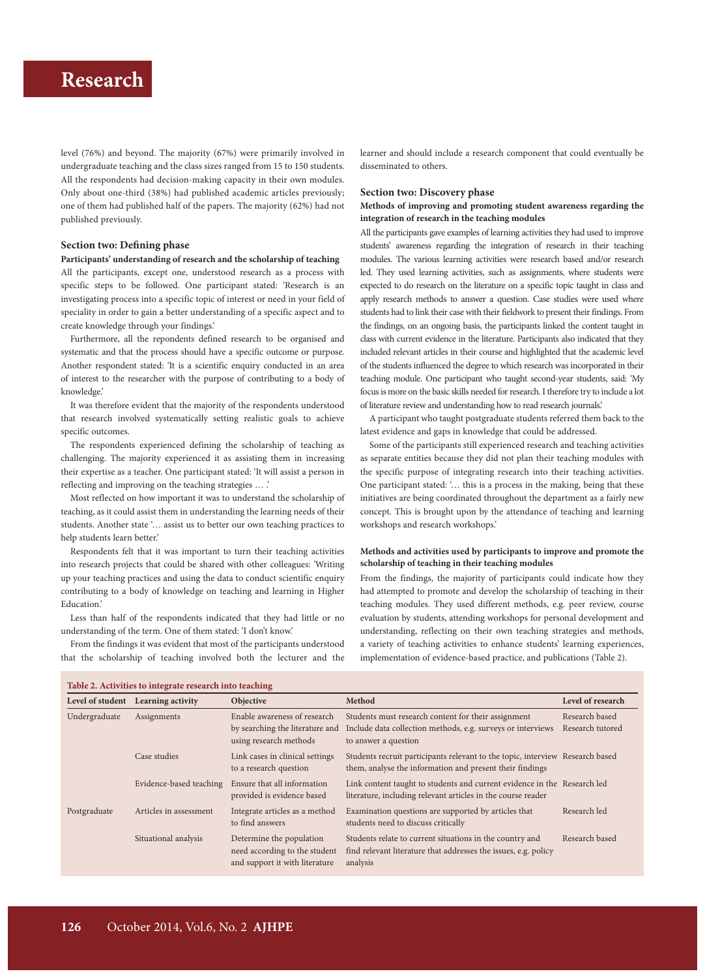level (76%) and beyond. The majority (67%) were primarily involved in undergraduate teaching and the class sizes ranged from 15 to 150 students. All the respondents had decision-making capacity in their own modules. Only about one-third (38%) had published academic articles previously; one of them had published half of the papers. The majority (62%) had not published previously.

# **Section two: Defining phase**

#### **Participants' understanding of research and the scholarship of teaching**

All the participants, except one, understood research as a process with specific steps to be followed. One participant stated: 'Research is an investigating process into a specific topic of interest or need in your field of speciality in order to gain a better understanding of a specific aspect and to create knowledge through your findings.'

Furthermore, all the repondents defined research to be organised and systematic and that the process should have a specific outcome or purpose. Another respondent stated: 'It is a scientific enquiry conducted in an area of interest to the researcher with the purpose of contributing to a body of knowledge.'

It was therefore evident that the majority of the respondents understood that research involved systematically setting realistic goals to achieve specific outcomes.

The respondents experienced defining the scholarship of teaching as challenging. The majority experienced it as assisting them in increasing their expertise as a teacher. One participant stated: 'It will assist a person in reflecting and improving on the teaching strategies … .'

Most reflected on how important it was to understand the scholarship of teaching, as it could assist them in understanding the learning needs of their students. Another state '… assist us to better our own teaching practices to help students learn better.'

Respondents felt that it was important to turn their teaching activities into research projects that could be shared with other colleagues: 'Writing up your teaching practices and using the data to conduct scientific enquiry contributing to a body of knowledge on teaching and learning in Higher Education.'

Less than half of the respondents indicated that they had little or no understanding of the term. One of them stated: 'I don't know.'

From the findings it was evident that most of the participants understood that the scholarship of teaching involved both the lecturer and the learner and should include a research component that could eventually be disseminated to others.

#### **Section two: Discovery phase**

#### **Methods of improving and promoting student awareness regarding the integration of research in the teaching modules**

All the participants gave examples of learning activities they had used to improve students' awareness regarding the integration of research in their teaching modules. The various learning activities were research based and/or research led. They used learning activities, such as assignments, where students were expected to do research on the literature on a specific topic taught in class and apply research methods to answer a question. Case studies were used where students had to link their case with their fieldwork to present their findings. From the findings, on an ongoing basis, the participants linked the content taught in class with current evidence in the literature. Participants also indicated that they included relevant articles in their course and highlighted that the academic level of the students influenced the degree to which research was incorporated in their teaching module. One participant who taught second-year students, said: 'My focus is more on the basic skills needed for research. I therefore try to include a lot of literature review and understanding how to read research journals.'

A participant who taught postgraduate students referred them back to the latest evidence and gaps in knowledge that could be addressed.

Some of the participants still experienced research and teaching activities as separate entities because they did not plan their teaching modules with the specific purpose of integrating research into their teaching activities. One participant stated: '… this is a process in the making, being that these initiatives are being coordinated throughout the department as a fairly new concept. This is brought upon by the attendance of teaching and learning workshops and research workshops.'

#### **Methods and activities used by participants to improve and promote the scholarship of teaching in their teaching modules**

From the findings, the majority of participants could indicate how they had attempted to promote and develop the scholarship of teaching in their teaching modules. They used different methods, e.g. peer review, course evaluation by students, attending workshops for personal development and understanding, reflecting on their own teaching strategies and methods, a variety of teaching activities to enhance students' learning experiences, implementation of evidence-based practice, and publications (Table 2).

|               | Level of student Learning activity | <b>Objective</b>                                                                            | Method                                                                                                                                    | Level of research |
|---------------|------------------------------------|---------------------------------------------------------------------------------------------|-------------------------------------------------------------------------------------------------------------------------------------------|-------------------|
| Undergraduate | Assignments                        | Enable awareness of research                                                                | Students must research content for their assignment                                                                                       | Research based    |
|               |                                    | by searching the literature and<br>using research methods                                   | Include data collection methods, e.g. surveys or interviews<br>to answer a question                                                       | Research tutored  |
|               | Case studies                       | Link cases in clinical settings<br>to a research question                                   | Students recruit participants relevant to the topic, interview Research based<br>them, analyse the information and present their findings |                   |
|               | Evidence-based teaching            | Ensure that all information<br>provided is evidence based                                   | Link content taught to students and current evidence in the Research led<br>literature, including relevant articles in the course reader  |                   |
| Postgraduate  | Articles in assessment             | Integrate articles as a method<br>to find answers                                           | Examination questions are supported by articles that<br>students need to discuss critically                                               | Research led      |
|               | Situational analysis               | Determine the population<br>need according to the student<br>and support it with literature | Students relate to current situations in the country and<br>find relevant literature that addresses the issues, e.g. policy<br>analysis   | Research based    |

# **Table 2. Activities to integrate research into teaching**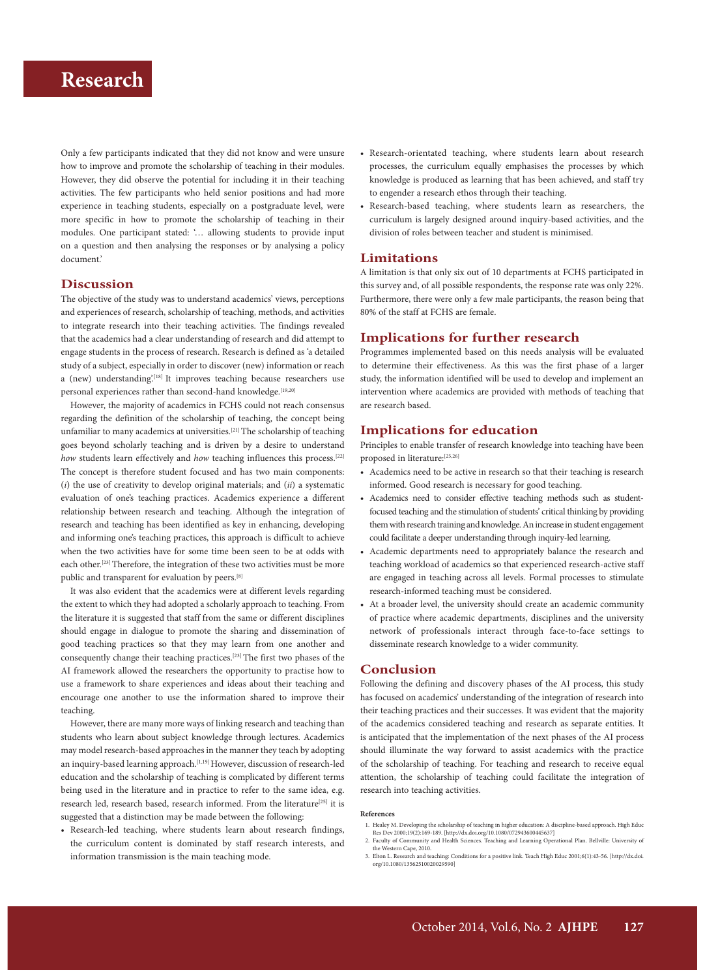Only a few participants indicated that they did not know and were unsure how to improve and promote the scholarship of teaching in their modules. However, they did observe the potential for including it in their teaching activities. The few participants who held senior positions and had more experience in teaching students, especially on a postgraduate level, were more specific in how to promote the scholarship of teaching in their modules. One participant stated: '… allowing students to provide input on a question and then analysing the responses or by analysing a policy document.'

# **Discussion**

The objective of the study was to understand academics' views, perceptions and experiences of research, scholarship of teaching, methods, and activities to integrate research into their teaching activities. The findings revealed that the academics had a clear understanding of research and did attempt to engage students in the process of research. Research is defined as 'a detailed study of a subject, especially in order to discover (new) information or reach a (new) understanding<sup>'[18]</sup> It improves teaching because researchers use personal experiences rather than second-hand knowledge.<sup>[19,20]</sup>

However, the majority of academics in FCHS could not reach consensus regarding the definition of the scholarship of teaching, the concept being unfamiliar to many academics at universities.[21] The scholarship of teaching goes beyond scholarly teaching and is driven by a desire to understand *how* students learn effectively and *how* teaching influences this process.[22] The concept is therefore student focused and has two main components: (*i*) the use of creativity to develop original materials; and (*ii*) a systematic evaluation of one's teaching practices. Academics experience a different relationship between research and teaching. Although the integration of research and teaching has been identified as key in enhancing, developing and informing one's teaching practices, this approach is difficult to achieve when the two activities have for some time been seen to be at odds with each other.[23] Therefore, the integration of these two activities must be more public and transparent for evaluation by peers.[8]

It was also evident that the academics were at different levels regarding the extent to which they had adopted a scholarly approach to teaching. From the literature it is suggested that staff from the same or different disciplines should engage in dialogue to promote the sharing and dissemination of good teaching practices so that they may learn from one another and consequently change their teaching practices.[23] The first two phases of the AI framework allowed the researchers the opportunity to practise how to use a framework to share experiences and ideas about their teaching and encourage one another to use the information shared to improve their teaching.

However, there are many more ways of linking research and teaching than students who learn about subject knowledge through lectures. Academics may model research-based approaches in the manner they teach by adopting an inquiry-based learning approach.<sup>[1,19]</sup> However, discussion of research-led education and the scholarship of teaching is complicated by different terms being used in the literature and in practice to refer to the same idea, e.g. research led, research based, research informed. From the literature<sup>[25]</sup> it is suggested that a distinction may be made between the following:

• Research-led teaching, where students learn about research findings, the curriculum content is dominated by staff research interests, and information transmission is the main teaching mode.

- Research-orientated teaching, where students learn about research processes, the curriculum equally emphasises the processes by which knowledge is produced as learning that has been achieved, and staff try to engender a research ethos through their teaching.
- Research-based teaching, where students learn as researchers, the curriculum is largely designed around inquiry-based activities, and the division of roles between teacher and student is minimised.

### **Limitations**

A limitation is that only six out of 10 departments at FCHS participated in this survey and, of all possible respondents, the response rate was only 22%. Furthermore, there were only a few male participants, the reason being that 80% of the staff at FCHS are female.

### **Implications for further research**

Programmes implemented based on this needs analysis will be evaluated to determine their effectiveness. As this was the first phase of a larger study, the information identified will be used to develop and implement an intervention where academics are provided with methods of teaching that are research based.

# **Implications for education**

Principles to enable transfer of research knowledge into teaching have been proposed in literature:[25,26]

- Academics need to be active in research so that their teaching is research informed. Good research is necessary for good teaching.
- Academics need to consider effective teaching methods such as studentfocused teaching and the stimulation of students' critical thinking by providing them with research training and knowledge. An increase in student engagement could facilitate a deeper understanding through inquiry-led learning.
- Academic departments need to appropriately balance the research and teaching workload of academics so that experienced research-active staff are engaged in teaching across all levels. Formal processes to stimulate research-informed teaching must be considered.
- At a broader level, the university should create an academic community of practice where academic departments, disciplines and the university network of professionals interact through face-to-face settings to disseminate research knowledge to a wider community.

### **Conclusion**

Following the defining and discovery phases of the AI process, this study has focused on academics' understanding of the integration of research into their teaching practices and their successes. It was evident that the majority of the academics considered teaching and research as separate entities. It is anticipated that the implementation of the next phases of the AI process should illuminate the way forward to assist academics with the practice of the scholarship of teaching. For teaching and research to receive equal attention, the scholarship of teaching could facilitate the integration of research into teaching activities.

#### **References**

- 1. Healey M. Developing the scholarship of teaching in higher education: A discipline-based approach. High Educ
- Res Dev 2000;19(2):169-189. [http://dx.doi.org/10.1080/072943600445637]<br>2. Faculty of Community and Health Sciences. Teaching and Learning Operational Plan. Bellville: University of<br>the Western Cape, 2010.
- 3. Elton L. Research and teaching: Conditions for a positive link. Teach High Educ 2001;6(1):43-56. [http://dx.doi. org/10.1080/13562510020029590]